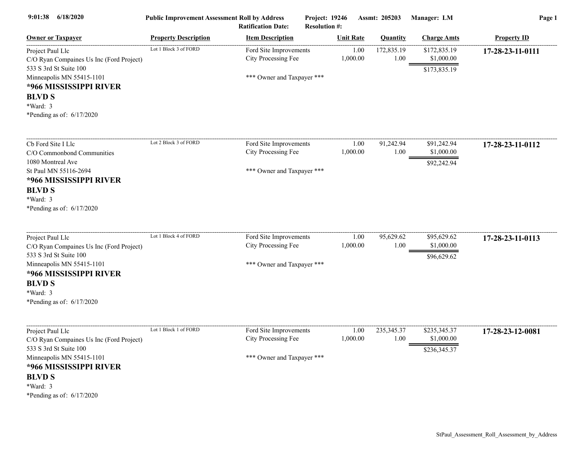| 6/18/2020<br>9:01:38                                                                                                                                                                                      | <b>Public Improvement Assessment Roll by Address</b><br><b>Ratification Date:</b> |                                                                             | Project: 19246<br><b>Resolution #:</b> | Assmt: 205203    |                      | Manager: LM                                | Page 1             |  |
|-----------------------------------------------------------------------------------------------------------------------------------------------------------------------------------------------------------|-----------------------------------------------------------------------------------|-----------------------------------------------------------------------------|----------------------------------------|------------------|----------------------|--------------------------------------------|--------------------|--|
| <b>Owner or Taxpayer</b>                                                                                                                                                                                  | <b>Property Description</b>                                                       | <b>Item Description</b>                                                     |                                        | <b>Unit Rate</b> | Quantity             | <b>Charge Amts</b>                         | <b>Property ID</b> |  |
| Project Paul Llc<br>C/O Ryan Compaines Us Inc (Ford Project)<br>533 S 3rd St Suite 100<br>Minneapolis MN 55415-1101<br>*966 MISSISSIPPI RIVER<br><b>BLVD S</b><br>*Ward: 3<br>*Pending as of: 6/17/2020   | Lot 1 Block 3 of FORD                                                             | Ford Site Improvements<br>City Processing Fee<br>*** Owner and Taxpayer *** |                                        | 1.00<br>1,000.00 | 172,835.19<br>1.00   | \$172,835.19<br>\$1,000.00<br>\$173,835.19 | 17-28-23-11-0111   |  |
| Cb Ford Site I Llc<br>C/O Commonbond Communities<br>1080 Montreal Ave<br>St Paul MN 55116-2694<br>*966 MISSISSIPPI RIVER<br><b>BLVD S</b><br>*Ward: 3<br>*Pending as of: $6/17/2020$                      | Lot 2 Block 3 of FORD                                                             | Ford Site Improvements<br>City Processing Fee<br>*** Owner and Taxpayer *** |                                        | 1.00<br>1,000.00 | 91,242.94<br>1.00    | \$91,242.94<br>\$1,000.00<br>\$92,242.94   | 17-28-23-11-0112   |  |
| Project Paul Llc<br>C/O Ryan Compaines Us Inc (Ford Project)<br>533 S 3rd St Suite 100<br>Minneapolis MN 55415-1101<br>*966 MISSISSIPPI RIVER<br><b>BLVD S</b><br>*Ward: 3<br>*Pending as of: $6/17/2020$ | Lot 1 Block 4 of FORD                                                             | Ford Site Improvements<br>City Processing Fee<br>*** Owner and Taxpayer *** |                                        | 1.00<br>1,000.00 | 95,629.62<br>1.00    | \$95,629.62<br>\$1,000.00<br>\$96,629.62   | 17-28-23-11-0113   |  |
| Project Paul Llc<br>C/O Ryan Compaines Us Inc (Ford Project)<br>533 S 3rd St Suite 100<br>Minneapolis MN 55415-1101<br>*966 MISSISSIPPI RIVER<br><b>BLVD S</b><br>*Ward: 3<br>*Pending as of: $6/17/2020$ | Lot 1 Block 1 of FORD                                                             | Ford Site Improvements<br>City Processing Fee<br>*** Owner and Taxpayer *** |                                        | 1.00<br>1,000.00 | 235, 345. 37<br>1.00 | \$235,345.37<br>\$1,000.00<br>\$236,345.37 | 17-28-23-12-0081   |  |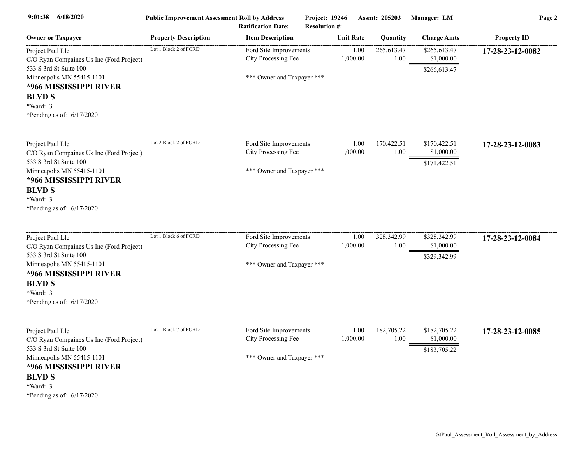| 9:01:38<br>6/18/2020                                                                                                                                                                                      | <b>Public Improvement Assessment Roll by Address</b> | <b>Ratification Date:</b>                                                   | Project: 19246<br><b>Resolution #:</b> |                  | Assmt: 205203      | Manager: LM                                | Page 2             |
|-----------------------------------------------------------------------------------------------------------------------------------------------------------------------------------------------------------|------------------------------------------------------|-----------------------------------------------------------------------------|----------------------------------------|------------------|--------------------|--------------------------------------------|--------------------|
| <b>Owner or Taxpayer</b>                                                                                                                                                                                  | <b>Property Description</b>                          | <b>Item Description</b>                                                     |                                        | <b>Unit Rate</b> | <b>Quantity</b>    | <b>Charge Amts</b>                         | <b>Property ID</b> |
| Project Paul Llc<br>C/O Ryan Compaines Us Inc (Ford Project)<br>533 S 3rd St Suite 100<br>Minneapolis MN 55415-1101<br>*966 MISSISSIPPI RIVER<br><b>BLVD S</b><br>*Ward: 3<br>*Pending as of: $6/17/2020$ | Lot 1 Block 2 of FORD                                | Ford Site Improvements<br>City Processing Fee<br>*** Owner and Taxpayer *** |                                        | 1.00<br>1,000.00 | 265,613.47<br>1.00 | \$265,613.47<br>\$1,000.00<br>\$266,613.47 | 17-28-23-12-0082   |
| Project Paul Llc<br>C/O Ryan Compaines Us Inc (Ford Project)<br>533 S 3rd St Suite 100<br>Minneapolis MN 55415-1101<br>*966 MISSISSIPPI RIVER<br><b>BLVD S</b><br>*Ward: 3<br>*Pending as of: $6/17/2020$ | Lot 2 Block 2 of FORD                                | Ford Site Improvements<br>City Processing Fee<br>*** Owner and Taxpayer *** |                                        | 1.00<br>1,000.00 | 170,422.51<br>1.00 | \$170,422.51<br>\$1,000.00<br>\$171,422.51 | 17-28-23-12-0083   |
| Project Paul Llc<br>C/O Ryan Compaines Us Inc (Ford Project)<br>533 S 3rd St Suite 100<br>Minneapolis MN 55415-1101<br>*966 MISSISSIPPI RIVER<br><b>BLVD S</b><br>*Ward: 3<br>*Pending as of: 6/17/2020   | Lot 1 Block 6 of FORD                                | Ford Site Improvements<br>City Processing Fee<br>*** Owner and Taxpayer *** |                                        | 1.00<br>1,000.00 | 328,342.99<br>1.00 | \$328,342.99<br>\$1,000.00<br>\$329,342.99 | 17-28-23-12-0084   |
| Project Paul Llc<br>C/O Ryan Compaines Us Inc (Ford Project)<br>533 S 3rd St Suite 100<br>Minneapolis MN 55415-1101<br>*966 MISSISSIPPI RIVER<br><b>BLVD S</b><br>*Ward: 3<br>*Pending as of: $6/17/2020$ | Lot 1 Block 7 of FORD                                | Ford Site Improvements<br>City Processing Fee<br>*** Owner and Taxpayer *** |                                        | 1.00<br>1,000.00 | 182,705.22<br>1.00 | \$182,705.22<br>\$1,000.00<br>\$183,705.22 | 17-28-23-12-0085   |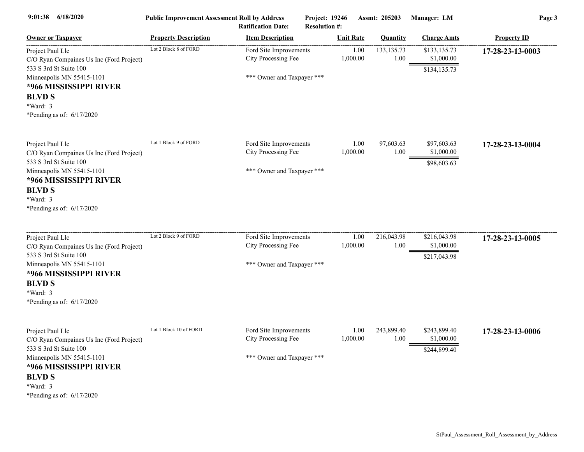| 6/18/2020<br>9:01:38                                                                                                                                                                                      | <b>Public Improvement Assessment Roll by Address</b> | <b>Ratification Date:</b>                                                   | Project: 19246<br><b>Resolution #:</b> | Assmt: 205203        | Manager: LM                                        | Page 3             |
|-----------------------------------------------------------------------------------------------------------------------------------------------------------------------------------------------------------|------------------------------------------------------|-----------------------------------------------------------------------------|----------------------------------------|----------------------|----------------------------------------------------|--------------------|
| <b>Owner or Taxpayer</b>                                                                                                                                                                                  | <b>Property Description</b>                          | <b>Item Description</b>                                                     | <b>Unit Rate</b>                       | <b>Ouantity</b>      | <b>Charge Amts</b>                                 | <b>Property ID</b> |
| Project Paul Llc<br>C/O Ryan Compaines Us Inc (Ford Project)<br>533 S 3rd St Suite 100<br>Minneapolis MN 55415-1101<br>*966 MISSISSIPPI RIVER<br><b>BLVD S</b><br>*Ward: 3<br>*Pending as of: $6/17/2020$ | Lot 2 Block 8 of FORD                                | Ford Site Improvements<br>City Processing Fee<br>*** Owner and Taxpayer *** | 1,000.00                               | 1.00<br>133, 135. 73 | \$133,135.73<br>\$1,000.00<br>1.00<br>\$134,135.73 | 17-28-23-13-0003   |
| Project Paul Llc<br>C/O Ryan Compaines Us Inc (Ford Project)<br>533 S 3rd St Suite 100<br>Minneapolis MN 55415-1101<br>*966 MISSISSIPPI RIVER<br><b>BLVD S</b><br>*Ward: 3<br>*Pending as of: $6/17/2020$ | Lot 1 Block 9 of FORD                                | Ford Site Improvements<br>City Processing Fee<br>*** Owner and Taxpayer *** | 1,000.00                               | 97,603.63<br>1.00    | \$97,603.63<br>1.00<br>\$1,000.00<br>\$98,603.63   | 17-28-23-13-0004   |
| Project Paul Llc<br>C/O Ryan Compaines Us Inc (Ford Project)<br>533 S 3rd St Suite 100<br>Minneapolis MN 55415-1101<br>*966 MISSISSIPPI RIVER<br><b>BLVD S</b><br>*Ward: 3<br>*Pending as of: $6/17/2020$ | Lot 2 Block 9 of FORD                                | Ford Site Improvements<br>City Processing Fee<br>*** Owner and Taxpayer *** | 1,000.00                               | 1.00<br>216,043.98   | \$216,043.98<br>1.00<br>\$1,000.00<br>\$217,043.98 | 17-28-23-13-0005   |
| Project Paul Llc<br>C/O Ryan Compaines Us Inc (Ford Project)<br>533 S 3rd St Suite 100<br>Minneapolis MN 55415-1101<br>*966 MISSISSIPPI RIVER<br><b>BLVD S</b><br>*Ward: 3<br>*Pending as of: 6/17/2020   | Lot 1 Block 10 of FORD                               | Ford Site Improvements<br>City Processing Fee<br>*** Owner and Taxpayer *** | 1,000.00                               | 1.00<br>243,899.40   | \$243,899.40<br>1.00<br>\$1,000.00<br>\$244,899.40 | 17-28-23-13-0006   |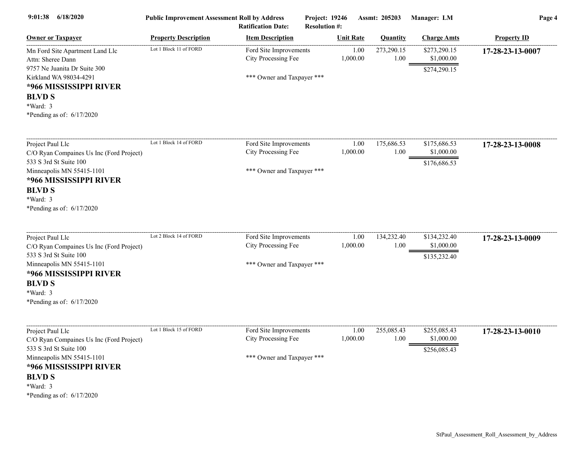| 6/18/2020<br>9:01:38                                                                                                                                                                                      | <b>Public Improvement Assessment Roll by Address</b> | <b>Ratification Date:</b>                                                   | Project: 19246<br><b>Resolution #:</b> |                  | Assmt: 205203      | Manager: LM                                | Page 4             |
|-----------------------------------------------------------------------------------------------------------------------------------------------------------------------------------------------------------|------------------------------------------------------|-----------------------------------------------------------------------------|----------------------------------------|------------------|--------------------|--------------------------------------------|--------------------|
| <b>Owner or Taxpayer</b>                                                                                                                                                                                  | <b>Property Description</b>                          | <b>Item Description</b>                                                     |                                        | <b>Unit Rate</b> | <b>Quantity</b>    | <b>Charge Amts</b>                         | <b>Property ID</b> |
| Mn Ford Site Apartment Land Llc<br>Attn: Sheree Dann<br>9757 Ne Juanita Dr Suite 300<br>Kirkland WA 98034-4291<br>*966 MISSISSIPPI RIVER<br><b>BLVD S</b><br>*Ward: 3<br>*Pending as of: $6/17/2020$      | Lot 1 Block 11 of FORD                               | Ford Site Improvements<br>City Processing Fee<br>*** Owner and Taxpayer *** |                                        | 1.00<br>1,000.00 | 273,290.15<br>1.00 | \$273,290.15<br>\$1,000.00<br>\$274,290.15 | 17-28-23-13-0007   |
| Project Paul Llc<br>C/O Ryan Compaines Us Inc (Ford Project)<br>533 S 3rd St Suite 100<br>Minneapolis MN 55415-1101<br>*966 MISSISSIPPI RIVER<br><b>BLVD S</b><br>*Ward: 3<br>*Pending as of: $6/17/2020$ | Lot 1 Block 14 of FORD                               | Ford Site Improvements<br>City Processing Fee<br>*** Owner and Taxpayer *** |                                        | 1.00<br>1,000.00 | 175,686.53<br>1.00 | \$175,686.53<br>\$1,000.00<br>\$176,686.53 | 17-28-23-13-0008   |
| Project Paul Llc<br>C/O Ryan Compaines Us Inc (Ford Project)<br>533 S 3rd St Suite 100<br>Minneapolis MN 55415-1101<br>*966 MISSISSIPPI RIVER<br><b>BLVD S</b><br>*Ward: 3<br>*Pending as of: 6/17/2020   | Lot 2 Block 14 of FORD                               | Ford Site Improvements<br>City Processing Fee<br>*** Owner and Taxpayer *** |                                        | 1.00<br>1,000.00 | 134,232.40<br>1.00 | \$134,232.40<br>\$1,000.00<br>\$135,232.40 | 17-28-23-13-0009   |
| Project Paul Llc<br>C/O Ryan Compaines Us Inc (Ford Project)<br>533 S 3rd St Suite 100<br>Minneapolis MN 55415-1101<br>*966 MISSISSIPPI RIVER<br><b>BLVD S</b><br>*Ward: 3<br>*Pending as of: 6/17/2020   | Lot 1 Block 15 of FORD                               | Ford Site Improvements<br>City Processing Fee<br>*** Owner and Taxpayer *** |                                        | 1.00<br>1,000.00 | 255,085.43<br>1.00 | \$255,085.43<br>\$1,000.00<br>\$256,085.43 | 17-28-23-13-0010   |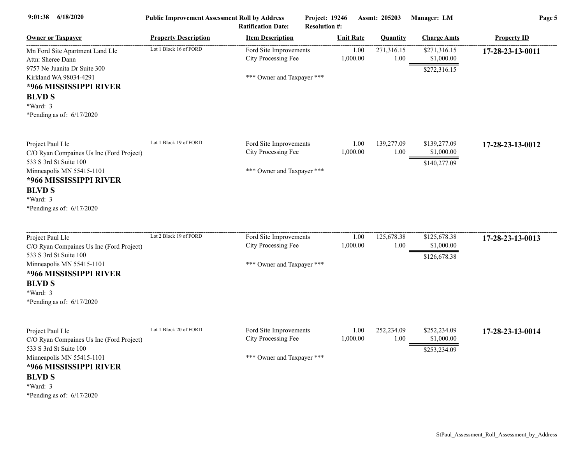| 6/18/2020<br>9:01:38                                                                                                                                                                                      | <b>Public Improvement Assessment Roll by Address</b> | <b>Ratification Date:</b>                                                   | Project: 19246<br><b>Resolution #:</b> |                  | Assmt: 205203      | Manager: LM                                | Page 5             |
|-----------------------------------------------------------------------------------------------------------------------------------------------------------------------------------------------------------|------------------------------------------------------|-----------------------------------------------------------------------------|----------------------------------------|------------------|--------------------|--------------------------------------------|--------------------|
| <b>Owner or Taxpayer</b>                                                                                                                                                                                  | <b>Property Description</b>                          | <b>Item Description</b>                                                     |                                        | <b>Unit Rate</b> | <b>Quantity</b>    | <b>Charge Amts</b>                         | <b>Property ID</b> |
| Mn Ford Site Apartment Land Llc<br>Attn: Sheree Dann                                                                                                                                                      | Lot 1 Block 16 of FORD                               | Ford Site Improvements<br>City Processing Fee                               |                                        | 1.00<br>1,000.00 | 271,316.15<br>1.00 | \$271,316.15<br>\$1,000.00                 | 17-28-23-13-0011   |
| 9757 Ne Juanita Dr Suite 300<br>Kirkland WA 98034-4291<br>*966 MISSISSIPPI RIVER<br><b>BLVD S</b><br>*Ward: 3<br>*Pending as of: $6/17/2020$                                                              |                                                      | *** Owner and Taxpayer ***                                                  |                                        |                  |                    | \$272,316.15                               |                    |
| Project Paul Llc<br>C/O Ryan Compaines Us Inc (Ford Project)                                                                                                                                              | Lot 1 Block 19 of FORD                               | Ford Site Improvements<br>City Processing Fee                               |                                        | 1.00<br>1,000.00 | 139,277.09<br>1.00 | \$139,277.09<br>\$1,000.00                 | 17-28-23-13-0012   |
| 533 S 3rd St Suite 100<br>Minneapolis MN 55415-1101<br>*966 MISSISSIPPI RIVER<br><b>BLVD S</b><br>*Ward: 3<br>*Pending as of: $6/17/2020$                                                                 |                                                      | *** Owner and Taxpayer ***                                                  |                                        |                  |                    | \$140,277.09                               |                    |
| Project Paul Llc<br>C/O Ryan Compaines Us Inc (Ford Project)<br>533 S 3rd St Suite 100<br>Minneapolis MN 55415-1101<br>*966 MISSISSIPPI RIVER<br><b>BLVD S</b><br>*Ward: 3<br>*Pending as of: $6/17/2020$ | Lot 2 Block 19 of FORD                               | Ford Site Improvements<br>City Processing Fee<br>*** Owner and Taxpayer *** |                                        | 1.00<br>1,000.00 | 125,678.38<br>1.00 | \$125,678.38<br>\$1,000.00<br>\$126,678.38 | 17-28-23-13-0013   |
| Project Paul Llc<br>C/O Ryan Compaines Us Inc (Ford Project)<br>533 S 3rd St Suite 100<br>Minneapolis MN 55415-1101<br>*966 MISSISSIPPI RIVER<br><b>BLVD S</b><br>*Ward: 3<br>*Pending as of: 6/17/2020   | Lot 1 Block 20 of FORD                               | Ford Site Improvements<br>City Processing Fee<br>*** Owner and Taxpayer *** |                                        | 1.00<br>1,000.00 | 252,234.09<br>1.00 | \$252,234.09<br>\$1,000.00<br>\$253,234.09 | 17-28-23-13-0014   |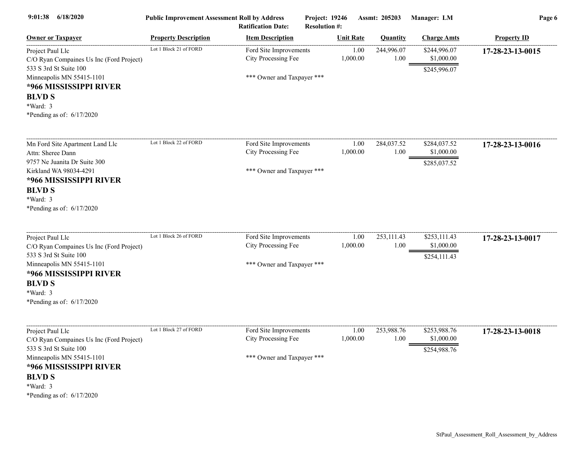| 9:01:38<br>6/18/2020                                                                                                                                                                                      | <b>Public Improvement Assessment Roll by Address</b> | <b>Ratification Date:</b>                                                   | Project: 19246<br><b>Resolution #:</b> |                  | Assmt: 205203      | Manager: LM                                | Page 6             |
|-----------------------------------------------------------------------------------------------------------------------------------------------------------------------------------------------------------|------------------------------------------------------|-----------------------------------------------------------------------------|----------------------------------------|------------------|--------------------|--------------------------------------------|--------------------|
| <b>Owner or Taxpayer</b>                                                                                                                                                                                  | <b>Property Description</b>                          | <b>Item Description</b>                                                     |                                        | <b>Unit Rate</b> | <b>Quantity</b>    | <b>Charge Amts</b>                         | <b>Property ID</b> |
| Project Paul Llc<br>C/O Ryan Compaines Us Inc (Ford Project)<br>533 S 3rd St Suite 100<br>Minneapolis MN 55415-1101<br>*966 MISSISSIPPI RIVER<br><b>BLVD S</b><br>*Ward: 3<br>*Pending as of: 6/17/2020   | Lot 1 Block 21 of FORD                               | Ford Site Improvements<br>City Processing Fee<br>*** Owner and Taxpayer *** |                                        | 1.00<br>1,000.00 | 244,996.07<br>1.00 | \$244,996.07<br>\$1,000.00<br>\$245,996.07 | 17-28-23-13-0015   |
| Mn Ford Site Apartment Land Llc<br>Attn: Sheree Dann<br>9757 Ne Juanita Dr Suite 300<br>Kirkland WA 98034-4291<br>*966 MISSISSIPPI RIVER<br><b>BLVD S</b><br>*Ward: 3<br>*Pending as of: $6/17/2020$      | Lot 1 Block 22 of FORD                               | Ford Site Improvements<br>City Processing Fee<br>*** Owner and Taxpayer *** |                                        | 1.00<br>1,000.00 | 284,037.52<br>1.00 | \$284,037.52<br>\$1,000.00<br>\$285,037.52 | 17-28-23-13-0016   |
| Project Paul Llc<br>C/O Ryan Compaines Us Inc (Ford Project)<br>533 S 3rd St Suite 100<br>Minneapolis MN 55415-1101<br>*966 MISSISSIPPI RIVER<br><b>BLVD S</b><br>*Ward: 3<br>*Pending as of: $6/17/2020$ | Lot 1 Block 26 of FORD                               | Ford Site Improvements<br>City Processing Fee<br>*** Owner and Taxpayer *** |                                        | 1.00<br>1,000.00 | 253,111.43<br>1.00 | \$253,111.43<br>\$1,000.00<br>\$254,111.43 | 17-28-23-13-0017   |
| Project Paul Llc<br>C/O Ryan Compaines Us Inc (Ford Project)<br>533 S 3rd St Suite 100<br>Minneapolis MN 55415-1101<br>*966 MISSISSIPPI RIVER<br><b>BLVD S</b><br>*Ward: 3<br>*Pending as of: 6/17/2020   | Lot 1 Block 27 of FORD                               | Ford Site Improvements<br>City Processing Fee<br>*** Owner and Taxpayer *** |                                        | 1.00<br>1,000.00 | 253,988.76<br>1.00 | \$253,988.76<br>\$1,000.00<br>\$254,988.76 | 17-28-23-13-0018   |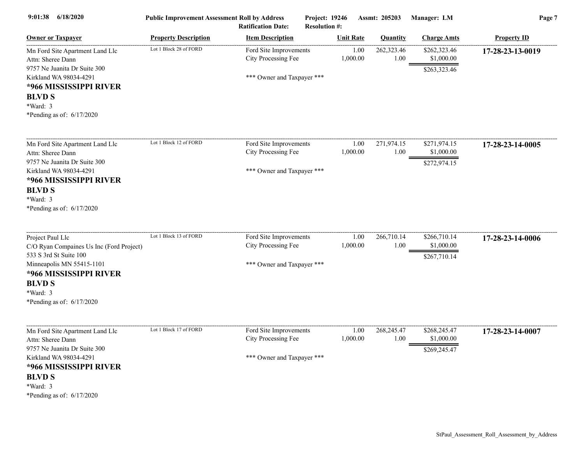| 6/18/2020<br>9:01:38                                                                                                                                                                                    | <b>Public Improvement Assessment Roll by Address</b> | <b>Ratification Date:</b>                                                   | Project: 19246<br><b>Resolution #:</b> |                  | Assmt: 205203      | Manager: LM                                | Page 7             |
|---------------------------------------------------------------------------------------------------------------------------------------------------------------------------------------------------------|------------------------------------------------------|-----------------------------------------------------------------------------|----------------------------------------|------------------|--------------------|--------------------------------------------|--------------------|
| <b>Owner or Taxpayer</b>                                                                                                                                                                                | <b>Property Description</b>                          | <b>Item Description</b>                                                     |                                        | <b>Unit Rate</b> | <b>Quantity</b>    | <b>Charge Amts</b>                         | <b>Property ID</b> |
| Mn Ford Site Apartment Land Llc<br>Attn: Sheree Dann<br>9757 Ne Juanita Dr Suite 300<br>Kirkland WA 98034-4291<br>*966 MISSISSIPPI RIVER<br><b>BLVD S</b><br>*Ward: 3<br>*Pending as of: $6/17/2020$    | Lot 1 Block 28 of FORD                               | Ford Site Improvements<br>City Processing Fee<br>*** Owner and Taxpayer *** |                                        | 1.00<br>1,000.00 | 262,323.46<br>1.00 | \$262,323.46<br>\$1,000.00<br>\$263,323.46 | 17-28-23-13-0019   |
| Mn Ford Site Apartment Land Llc<br>Attn: Sheree Dann<br>9757 Ne Juanita Dr Suite 300<br>Kirkland WA 98034-4291<br>*966 MISSISSIPPI RIVER<br><b>BLVD S</b><br>*Ward: 3<br>*Pending as of: $6/17/2020$    | Lot 1 Block 12 of FORD                               | Ford Site Improvements<br>City Processing Fee<br>*** Owner and Taxpayer *** |                                        | 1.00<br>1,000.00 | 271,974.15<br>1.00 | \$271,974.15<br>\$1,000.00<br>\$272,974.15 | 17-28-23-14-0005   |
| Project Paul Llc<br>C/O Ryan Compaines Us Inc (Ford Project)<br>533 S 3rd St Suite 100<br>Minneapolis MN 55415-1101<br>*966 MISSISSIPPI RIVER<br><b>BLVD S</b><br>*Ward: 3<br>*Pending as of: 6/17/2020 | Lot 1 Block 13 of FORD                               | Ford Site Improvements<br>City Processing Fee<br>*** Owner and Taxpayer *** |                                        | 1.00<br>1,000.00 | 266,710.14<br>1.00 | \$266,710.14<br>\$1,000.00<br>\$267,710.14 | 17-28-23-14-0006   |
| Mn Ford Site Apartment Land Llc<br>Attn: Sheree Dann<br>9757 Ne Juanita Dr Suite 300<br>Kirkland WA 98034-4291<br>*966 MISSISSIPPI RIVER<br><b>BLVD S</b><br>*Ward: 3<br>*Pending as of: 6/17/2020      | Lot 1 Block 17 of FORD                               | Ford Site Improvements<br>City Processing Fee<br>*** Owner and Taxpayer *** |                                        | 1.00<br>1,000.00 | 268,245.47<br>1.00 | \$268,245.47<br>\$1,000.00<br>\$269,245.47 | 17-28-23-14-0007   |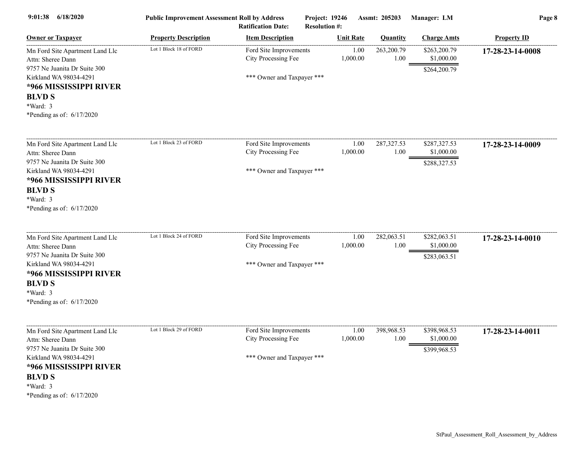| 9:01:38<br>6/18/2020                                                                                                                                                                                 | <b>Public Improvement Assessment Roll by Address</b> | <b>Ratification Date:</b>                                                   | Project: 19246<br><b>Resolution #:</b> |                  | Assmt: 205203       | Manager: LM                                | Page 8             |
|------------------------------------------------------------------------------------------------------------------------------------------------------------------------------------------------------|------------------------------------------------------|-----------------------------------------------------------------------------|----------------------------------------|------------------|---------------------|--------------------------------------------|--------------------|
| <b>Owner or Taxpayer</b>                                                                                                                                                                             | <b>Property Description</b>                          | <b>Item Description</b>                                                     |                                        | <b>Unit Rate</b> | <b>Quantity</b>     | <b>Charge Amts</b>                         | <b>Property ID</b> |
| Mn Ford Site Apartment Land Llc<br>Attn: Sheree Dann<br>9757 Ne Juanita Dr Suite 300<br>Kirkland WA 98034-4291<br>*966 MISSISSIPPI RIVER<br><b>BLVD S</b><br>*Ward: 3<br>*Pending as of: $6/17/2020$ | Lot 1 Block 18 of FORD                               | Ford Site Improvements<br>City Processing Fee<br>*** Owner and Taxpayer *** |                                        | 1.00<br>1,000.00 | 263,200.79<br>1.00  | \$263,200.79<br>\$1,000.00<br>\$264,200.79 | 17-28-23-14-0008   |
| Mn Ford Site Apartment Land Llc<br>Attn: Sheree Dann<br>9757 Ne Juanita Dr Suite 300<br>Kirkland WA 98034-4291<br>*966 MISSISSIPPI RIVER<br><b>BLVD S</b><br>*Ward: 3<br>*Pending as of: $6/17/2020$ | Lot 1 Block 23 of FORD                               | Ford Site Improvements<br>City Processing Fee<br>*** Owner and Taxpayer *** |                                        | 1.00<br>1,000.00 | 287, 327.53<br>1.00 | \$287,327.53<br>\$1,000.00<br>\$288,327.53 | 17-28-23-14-0009   |
| Mn Ford Site Apartment Land Llc<br>Attn: Sheree Dann<br>9757 Ne Juanita Dr Suite 300<br>Kirkland WA 98034-4291<br>*966 MISSISSIPPI RIVER<br><b>BLVD S</b><br>*Ward: 3<br>*Pending as of: $6/17/2020$ | Lot 1 Block 24 of FORD                               | Ford Site Improvements<br>City Processing Fee<br>*** Owner and Taxpayer *** |                                        | 1.00<br>1,000.00 | 282,063.51<br>1.00  | \$282,063.51<br>\$1,000.00<br>\$283,063.51 | 17-28-23-14-0010   |
| Mn Ford Site Apartment Land Llc<br>Attn: Sheree Dann<br>9757 Ne Juanita Dr Suite 300<br>Kirkland WA 98034-4291<br>*966 MISSISSIPPI RIVER<br><b>BLVD S</b><br>*Ward: 3<br>*Pending as of: $6/17/2020$ | Lot 1 Block 29 of FORD                               | Ford Site Improvements<br>City Processing Fee<br>*** Owner and Taxpayer *** |                                        | 1.00<br>1,000.00 | 398,968.53<br>1.00  | \$398,968.53<br>\$1,000.00<br>\$399,968.53 | 17-28-23-14-0011   |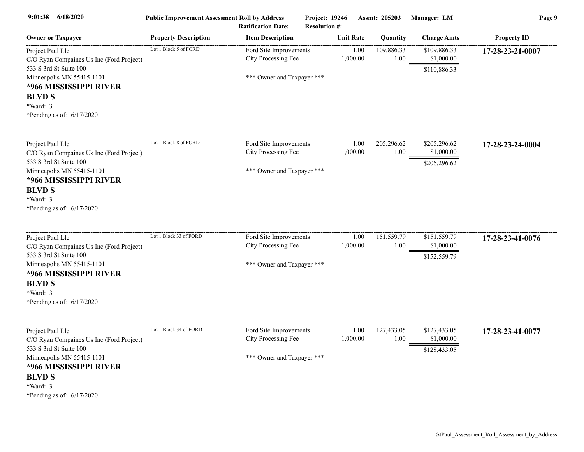| 6/18/2020<br>9:01:38                                                                                                                                                                                      | <b>Public Improvement Assessment Roll by Address</b> | <b>Ratification Date:</b>                                                   | Project: 19246<br><b>Resolution #:</b> |                  | Assmt: 205203      | Manager: LM                                | Page 9             |
|-----------------------------------------------------------------------------------------------------------------------------------------------------------------------------------------------------------|------------------------------------------------------|-----------------------------------------------------------------------------|----------------------------------------|------------------|--------------------|--------------------------------------------|--------------------|
| <b>Owner or Taxpayer</b>                                                                                                                                                                                  | <b>Property Description</b>                          | <b>Item Description</b>                                                     |                                        | <b>Unit Rate</b> | <b>Quantity</b>    | <b>Charge Amts</b>                         | <b>Property ID</b> |
| Project Paul Llc<br>C/O Ryan Compaines Us Inc (Ford Project)<br>533 S 3rd St Suite 100<br>Minneapolis MN 55415-1101<br>*966 MISSISSIPPI RIVER<br><b>BLVD S</b><br>*Ward: 3<br>*Pending as of: 6/17/2020   | Lot 1 Block 5 of FORD                                | Ford Site Improvements<br>City Processing Fee<br>*** Owner and Taxpayer *** |                                        | 1.00<br>1,000.00 | 109,886.33<br>1.00 | \$109,886.33<br>\$1,000.00<br>\$110,886.33 | 17-28-23-21-0007   |
| Project Paul Llc<br>C/O Ryan Compaines Us Inc (Ford Project)<br>533 S 3rd St Suite 100<br>Minneapolis MN 55415-1101<br>*966 MISSISSIPPI RIVER<br><b>BLVD S</b><br>*Ward: 3<br>*Pending as of: $6/17/2020$ | Lot 1 Block 8 of FORD                                | Ford Site Improvements<br>City Processing Fee<br>*** Owner and Taxpayer *** |                                        | 1.00<br>1,000.00 | 205,296.62<br>1.00 | \$205,296.62<br>\$1,000.00<br>\$206,296.62 | 17-28-23-24-0004   |
| Project Paul Llc<br>C/O Ryan Compaines Us Inc (Ford Project)<br>533 S 3rd St Suite 100<br>Minneapolis MN 55415-1101<br>*966 MISSISSIPPI RIVER<br><b>BLVD S</b><br>*Ward: 3<br>*Pending as of: $6/17/2020$ | Lot 1 Block 33 of FORD                               | Ford Site Improvements<br>City Processing Fee<br>*** Owner and Taxpayer *** |                                        | 1.00<br>1,000.00 | 151,559.79<br>1.00 | \$151,559.79<br>\$1,000.00<br>\$152,559.79 | 17-28-23-41-0076   |
| Project Paul Llc<br>C/O Ryan Compaines Us Inc (Ford Project)<br>533 S 3rd St Suite 100<br>Minneapolis MN 55415-1101<br>*966 MISSISSIPPI RIVER<br><b>BLVD S</b><br>*Ward: 3<br>*Pending as of: $6/17/2020$ | Lot 1 Block 34 of FORD                               | Ford Site Improvements<br>City Processing Fee<br>*** Owner and Taxpayer *** |                                        | 1.00<br>1,000.00 | 127,433.05<br>1.00 | \$127,433.05<br>\$1,000.00<br>\$128,433.05 | 17-28-23-41-0077   |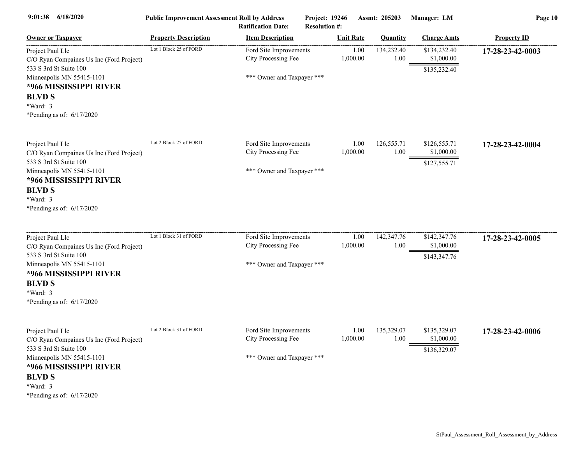| 6/18/2020<br>9:01:38                                                                                                                          | <b>Public Improvement Assessment Roll by Address</b><br><b>Ratification Date:</b> |                                                                             | Project: 19246<br><b>Resolution #:</b> |                  | Assmt: 205203      | Manager: LM                                | Page 10            |  |
|-----------------------------------------------------------------------------------------------------------------------------------------------|-----------------------------------------------------------------------------------|-----------------------------------------------------------------------------|----------------------------------------|------------------|--------------------|--------------------------------------------|--------------------|--|
| <b>Owner or Taxpayer</b>                                                                                                                      | <b>Property Description</b>                                                       | <b>Item Description</b>                                                     |                                        | <b>Unit Rate</b> | <b>Quantity</b>    | <b>Charge Amts</b>                         | <b>Property ID</b> |  |
| Project Paul Llc<br>C/O Ryan Compaines Us Inc (Ford Project)<br>533 S 3rd St Suite 100<br>Minneapolis MN 55415-1101<br>*966 MISSISSIPPI RIVER | Lot 1 Block 25 of FORD                                                            | Ford Site Improvements<br>City Processing Fee<br>*** Owner and Taxpayer *** |                                        | 1.00<br>1,000.00 | 134,232.40<br>1.00 | \$134,232.40<br>\$1,000.00<br>\$135,232.40 | 17-28-23-42-0003   |  |
| <b>BLVD S</b><br>*Ward: 3<br>*Pending as of: 6/17/2020                                                                                        |                                                                                   |                                                                             |                                        |                  |                    |                                            |                    |  |
| Project Paul Llc<br>C/O Ryan Compaines Us Inc (Ford Project)                                                                                  | Lot 2 Block 25 of FORD                                                            | Ford Site Improvements<br>City Processing Fee                               |                                        | 1.00<br>1,000.00 | 126,555.71<br>1.00 | \$126,555.71<br>\$1,000.00                 | 17-28-23-42-0004   |  |
| 533 S 3rd St Suite 100<br>Minneapolis MN 55415-1101<br>*966 MISSISSIPPI RIVER<br><b>BLVD S</b><br>*Ward: 3<br>*Pending as of: $6/17/2020$     |                                                                                   | *** Owner and Taxpayer ***                                                  |                                        |                  |                    | \$127,555.71                               |                    |  |
| Project Paul Llc<br>C/O Ryan Compaines Us Inc (Ford Project)                                                                                  | Lot 1 Block 31 of FORD                                                            | Ford Site Improvements<br>City Processing Fee                               |                                        | 1.00<br>1,000.00 | 142,347.76<br>1.00 | \$142,347.76<br>\$1,000.00                 | 17-28-23-42-0005   |  |
| 533 S 3rd St Suite 100<br>Minneapolis MN 55415-1101<br>*966 MISSISSIPPI RIVER<br><b>BLVD S</b><br>*Ward: 3<br>*Pending as of: 6/17/2020       |                                                                                   | *** Owner and Taxpayer ***                                                  |                                        |                  |                    | \$143,347.76                               |                    |  |
| Project Paul Llc<br>C/O Ryan Compaines Us Inc (Ford Project)<br>533 S 3rd St Suite 100                                                        | Lot 2 Block 31 of FORD                                                            | Ford Site Improvements<br>City Processing Fee                               |                                        | 1.00<br>1,000.00 | 135,329.07<br>1.00 | \$135,329.07<br>\$1,000.00<br>\$136,329.07 | 17-28-23-42-0006   |  |
| Minneapolis MN 55415-1101<br>*966 MISSISSIPPI RIVER<br><b>BLVD S</b><br>*Ward: 3<br>*Pending as of: $6/17/2020$                               |                                                                                   | *** Owner and Taxpayer ***                                                  |                                        |                  |                    |                                            |                    |  |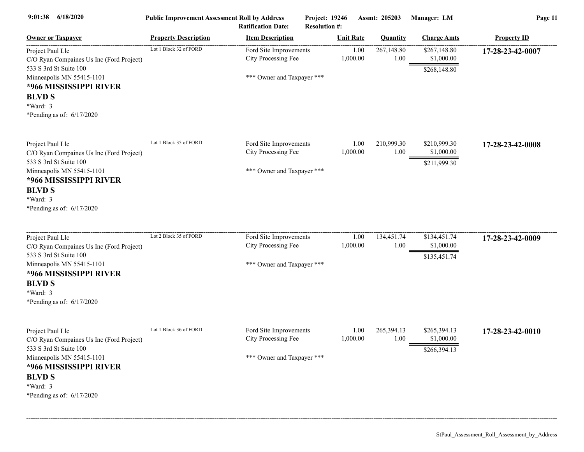| 9:01:38<br>6/18/2020                                                                                                                                                                                      | <b>Public Improvement Assessment Roll by Address</b> | <b>Ratification Date:</b>                                                   | Project: 19246<br><b>Resolution #:</b> |                  | Assmt: 205203      | Manager: LM                                | Page 11            |
|-----------------------------------------------------------------------------------------------------------------------------------------------------------------------------------------------------------|------------------------------------------------------|-----------------------------------------------------------------------------|----------------------------------------|------------------|--------------------|--------------------------------------------|--------------------|
| <b>Owner or Taxpayer</b>                                                                                                                                                                                  | <b>Property Description</b>                          | <b>Item Description</b>                                                     |                                        | <b>Unit Rate</b> | <b>Quantity</b>    | <b>Charge Amts</b>                         | <b>Property ID</b> |
| Project Paul Llc<br>C/O Ryan Compaines Us Inc (Ford Project)<br>533 S 3rd St Suite 100<br>Minneapolis MN 55415-1101<br>*966 MISSISSIPPI RIVER<br><b>BLVD S</b><br>*Ward: 3<br>*Pending as of: $6/17/2020$ | Lot 1 Block 32 of FORD                               | Ford Site Improvements<br>City Processing Fee<br>*** Owner and Taxpayer *** |                                        | 1.00<br>1,000.00 | 267,148.80<br>1.00 | \$267,148.80<br>\$1,000.00<br>\$268,148.80 | 17-28-23-42-0007   |
| Project Paul Llc<br>C/O Ryan Compaines Us Inc (Ford Project)<br>533 S 3rd St Suite 100<br>Minneapolis MN 55415-1101<br>*966 MISSISSIPPI RIVER<br><b>BLVD S</b><br>*Ward: 3<br>*Pending as of: $6/17/2020$ | Lot 1 Block 35 of FORD                               | Ford Site Improvements<br>City Processing Fee<br>*** Owner and Taxpayer *** |                                        | 1.00<br>1,000.00 | 210,999.30<br>1.00 | \$210,999.30<br>\$1,000.00<br>\$211,999.30 | 17-28-23-42-0008   |
| Project Paul Llc<br>C/O Ryan Compaines Us Inc (Ford Project)<br>533 S 3rd St Suite 100<br>Minneapolis MN 55415-1101<br>*966 MISSISSIPPI RIVER<br><b>BLVD S</b><br>*Ward: 3<br>*Pending as of: 6/17/2020   | Lot 2 Block 35 of FORD                               | Ford Site Improvements<br>City Processing Fee<br>*** Owner and Taxpayer *** |                                        | 1.00<br>1,000.00 | 134,451.74<br>1.00 | \$134,451.74<br>\$1,000.00<br>\$135,451.74 | 17-28-23-42-0009   |
| Project Paul Llc<br>C/O Ryan Compaines Us Inc (Ford Project)<br>533 S 3rd St Suite 100<br>Minneapolis MN 55415-1101<br>*966 MISSISSIPPI RIVER<br><b>BLVD S</b><br>*Ward: 3<br>*Pending as of: 6/17/2020   | Lot 1 Block 36 of FORD                               | Ford Site Improvements<br>City Processing Fee<br>*** Owner and Taxpayer *** |                                        | 1.00<br>1,000.00 | 265,394.13<br>1.00 | \$265,394.13<br>\$1,000.00<br>\$266,394.13 | 17-28-23-42-0010   |